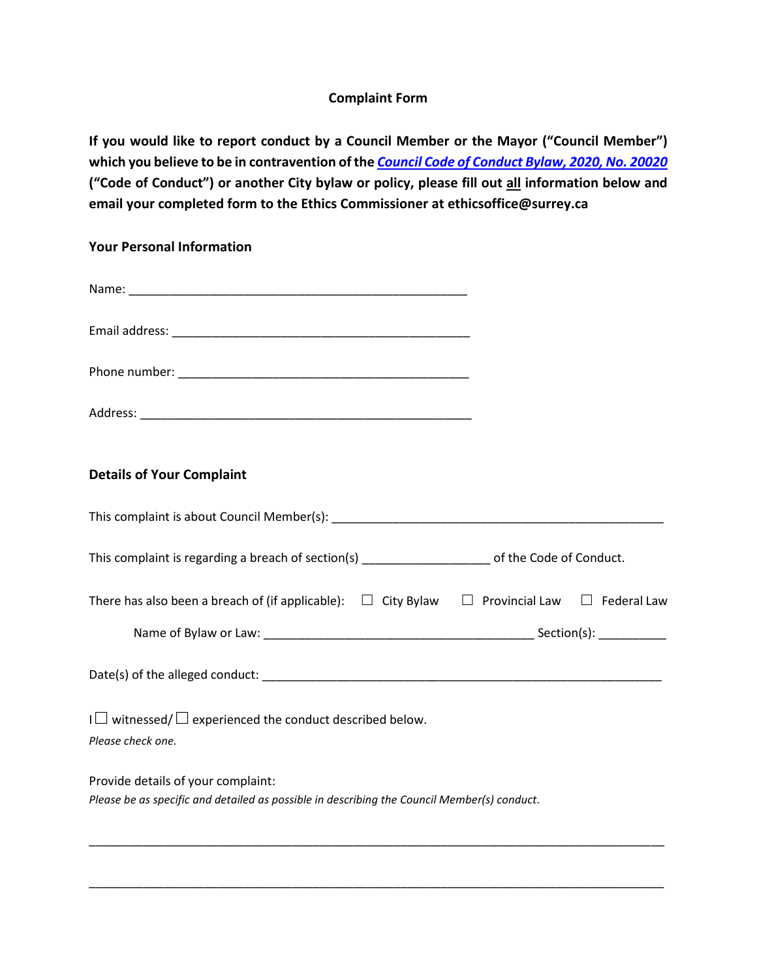## **Complaint Form**

**If you would like to report conduct by a Council Member or the Mayor ("Council Member")**  which you believe to be in contravention of the **[Council Code of Conduct Bylaw, 2020, No. 20020](https://www.surrey.ca/city-government/bylaws/20020) ("Code of Conduct") or another City bylaw or policy, please fill out all information below and email your completed form to the Ethics Commissioner at ethicsoffice@surrey.ca**

## **Your Personal Information**

| <b>Details of Your Complaint</b>                                                                                                  |  |  |  |
|-----------------------------------------------------------------------------------------------------------------------------------|--|--|--|
|                                                                                                                                   |  |  |  |
| This complaint is regarding a breach of section(s) _______________________ of the Code of Conduct.                                |  |  |  |
| There has also been a breach of (if applicable): $\Box$ City Bylaw $\Box$ Provincial Law $\Box$ Federal Law                       |  |  |  |
|                                                                                                                                   |  |  |  |
|                                                                                                                                   |  |  |  |
| $I \square$ witnessed/ $\square$ experienced the conduct described below.<br>Please check one.                                    |  |  |  |
| Provide details of your complaint:<br>Please be as specific and detailed as possible in describing the Council Member(s) conduct. |  |  |  |

\_\_\_\_\_\_\_\_\_\_\_\_\_\_\_\_\_\_\_\_\_\_\_\_\_\_\_\_\_\_\_\_\_\_\_\_\_\_\_\_\_\_\_\_\_\_\_\_\_\_\_\_\_\_\_\_\_\_\_\_\_\_\_\_\_\_\_\_\_\_\_\_\_\_\_\_\_\_\_\_\_\_\_\_\_

\_\_\_\_\_\_\_\_\_\_\_\_\_\_\_\_\_\_\_\_\_\_\_\_\_\_\_\_\_\_\_\_\_\_\_\_\_\_\_\_\_\_\_\_\_\_\_\_\_\_\_\_\_\_\_\_\_\_\_\_\_\_\_\_\_\_\_\_\_\_\_\_\_\_\_\_\_\_\_\_\_\_\_\_\_